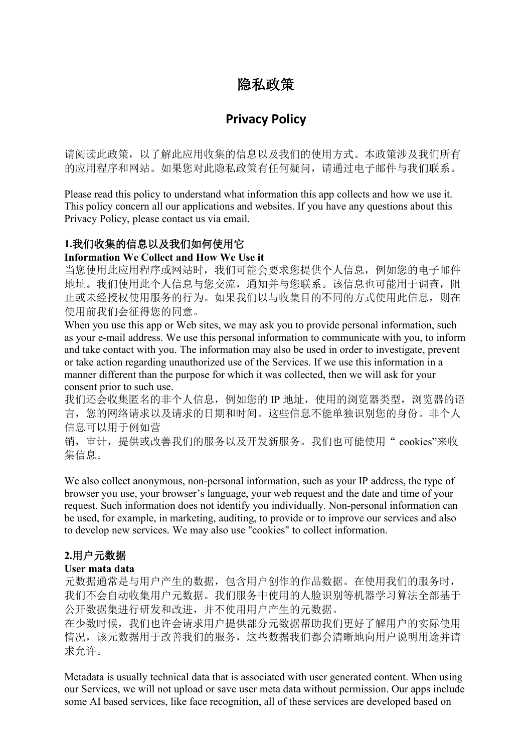# 隐私政策

# **Privacy Policy**

请阅读此政策,以了解此应用收集的信息以及我们的使用方式。本政策涉及我们所有 的应用程序和网站。如果您对此隐私政策有任何疑问,请通过电子邮件与我们联系。

Please read this policy to understand what information this app collects and how we use it. This policy concern all our applications and websites. If you have any questions about this Privacy Policy, please contact us via email.

## **1.**我们收集的信息以及我们如何使用它

#### **Information We Collect and How We Use it**

当您使用此应用程序或网站时,我们可能会要求您提供个人信息,例如您的电子邮件 地址。我们使用此个人信息与您交流,通知并与您联系。该信息也可能用于调查,阻 止或未经授权使用服务的行为。如果我们以与收集目的不同的方式使用此信息,则在 使用前我们会征得您的同意。

When you use this app or Web sites, we may ask you to provide personal information, such as your e-mail address. We use this personal information to communicate with you, to inform and take contact with you. The information may also be used in order to investigate, prevent or take action regarding unauthorized use of the Services. If we use this information in a manner different than the purpose for which it was collected, then we will ask for your consent prior to such use.

我们还会收集匿名的非个人信息,例如您的 IP 地址, 使用的浏览器类型, 浏览器的语 言,您的网络请求以及请求的日期和时间。这些信息不能单独识别您的身份。非个人 信息可以用于例如营

销,审计,提供或改善我们的服务以及开发新服务。我们也可能使用" cookies"来收 集信息。

We also collect anonymous, non-personal information, such as your IP address, the type of browser you use, your browser's language, your web request and the date and time of your request. Such information does not identify you individually. Non-personal information can be used, for example, in marketing, auditing, to provide or to improve our services and also to develop new services. We may also use "cookies" to collect information.

## **2.**用户元数据

#### **User mata data**

元数据通常是与用户产生的数据,包含用户创作的作品数据。在使用我们的服务时, 我们不会自动收集用户元数据。我们服务中使用的人脸识别等机器学习算法全部基于 公开数据集进行研发和改进,并不使用用户产生的元数据。

在少数时候,我们也许会请求用户提供部分元数据帮助我们更好了解用户的实际使用 情况,该元数据用于改善我们的服务,这些数据我们都会清晰地向用户说明用途并请 求允许。

Metadata is usually technical data that is associated with user generated content. When using our Services, we will not upload or save user meta data without permission. Our apps include some AI based services, like face recognition, all of these services are developed based on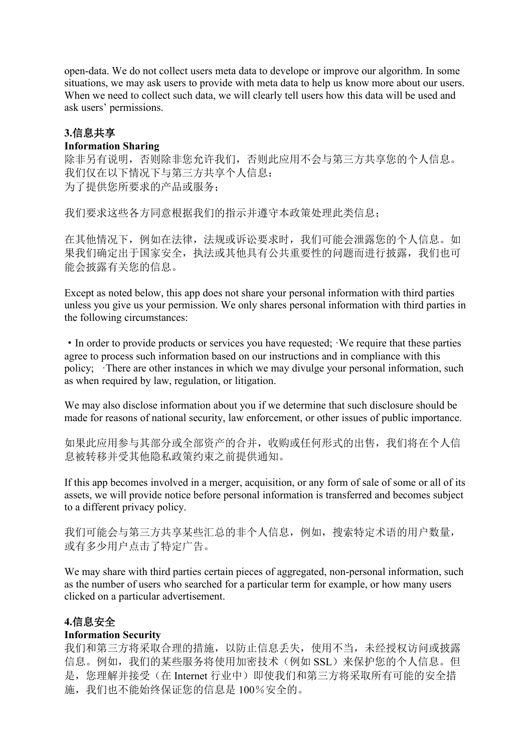open-data. We do not collect users meta data to develope or improve our algorithm. In some situations, we may ask users to provide with meta data to help us know more about our users. When we need to collect such data, we will clearly tell users how this data will be used and ask users' permissions.

#### **3.**信息共享

#### **Information Sharing**

除非另有说明,否则除非您允许我们,否则此应用不会与第三方共享您的个人信息。 我们仅在以下情况下与第三方共享个人信息: 为了提供您所要求的产品或服务;

我们要求这些各方同意根据我们的指示并遵守本政策处理此类信息;

在其他情况下,例如在法律,法规或诉讼要求时,我们可能会泄露您的个人信息。如 果我们确定出于国家安全,执法或其他具有公共重要性的问题而进行披露,我们也可 能会披露有关您的信息。

Except as noted below, this app does not share your personal information with third parties unless you give us your permission. We only shares personal information with third parties in the following circumstances:

• In order to provide products or services you have requested; We require that these parties agree to process such information based on our instructions and in compliance with this policy; There are other instances in which we may divulge your personal information, such as when required by law, regulation, or litigation.

We may also disclose information about you if we determine that such disclosure should be made for reasons of national security, law enforcement, or other issues of public importance.

如果此应用参与其部分或全部资产的合并,收购或任何形式的出售,我们将在个人信 息被转移并受其他隐私政策约束之前提供通知。

If this app becomes involved in a merger, acquisition, or any form of sale of some or all of its assets, we will provide notice before personal information is transferred and becomes subject to a different privacy policy.

我们可能会与第三方共享某些汇总的非个人信息,例如,搜索特定术语的用户数量, 或有多少用户点击了特定广告。

We may share with third parties certain pieces of aggregated, non-personal information, such as the number of users who searched for a particular term for example, or how many users clicked on a particular advertisement.

## **4.**信息安全

#### **Information Security**

我们和第三方将采取合理的措施,以防止信息丢失,使用不当,未经授权访问或披露 信息。例如,我们的某些服务将使用加密技术(例如 SSL)来保护您的个人信息。但 是,您理解并接受(在 Internet 行业中)即使我们和第三方将采取所有可能的安全措 施,我们也不能始终保证您的信息是 100%安全的。